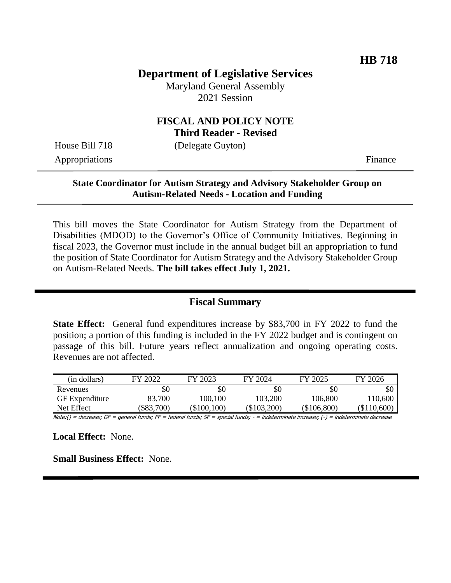## **Department of Legislative Services**

Maryland General Assembly 2021 Session

#### **FISCAL AND POLICY NOTE Third Reader - Revised**

House Bill 718 (Delegate Guyton)

Appropriations Finance

#### **State Coordinator for Autism Strategy and Advisory Stakeholder Group on Autism-Related Needs - Location and Funding**

This bill moves the State Coordinator for Autism Strategy from the Department of Disabilities (MDOD) to the Governor's Office of Community Initiatives. Beginning in fiscal 2023, the Governor must include in the annual budget bill an appropriation to fund the position of State Coordinator for Autism Strategy and the Advisory Stakeholder Group on Autism-Related Needs. **The bill takes effect July 1, 2021.**

#### **Fiscal Summary**

**State Effect:** General fund expenditures increase by \$83,700 in FY 2022 to fund the position; a portion of this funding is included in the FY 2022 budget and is contingent on passage of this bill. Future years reflect annualization and ongoing operating costs. Revenues are not affected.

| (in dollars)          | FY 2022  | FY 2023     | FY 2024     | FY 2025     | FY 2026       |
|-----------------------|----------|-------------|-------------|-------------|---------------|
| Revenues              | \$0      | \$0         | \$0         | \$0         | \$0           |
| <b>GF</b> Expenditure | 83,700   | 100,100     | 103,200     | 106,800     | 10,600        |
| Net Effect            | \$83,700 | (\$100,100) | (\$103,200) | (\$106,800) | $(\$110,600)$ |

Note:() = decrease; GF = general funds; FF = federal funds; SF = special funds; - = indeterminate increase; (-) = indeterminate decrease

**Local Effect:** None.

**Small Business Effect:** None.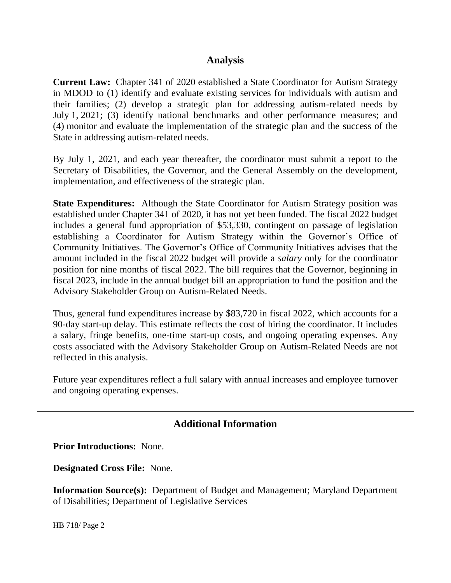### **Analysis**

**Current Law:** Chapter 341 of 2020 established a State Coordinator for Autism Strategy in MDOD to (1) identify and evaluate existing services for individuals with autism and their families; (2) develop a strategic plan for addressing autism-related needs by July 1, 2021; (3) identify national benchmarks and other performance measures; and (4) monitor and evaluate the implementation of the strategic plan and the success of the State in addressing autism-related needs.

By July 1, 2021, and each year thereafter, the coordinator must submit a report to the Secretary of Disabilities, the Governor, and the General Assembly on the development, implementation, and effectiveness of the strategic plan.

**State Expenditures:** Although the State Coordinator for Autism Strategy position was established under Chapter 341 of 2020, it has not yet been funded. The fiscal 2022 budget includes a general fund appropriation of \$53,330, contingent on passage of legislation establishing a Coordinator for Autism Strategy within the Governor's Office of Community Initiatives. The Governor's Office of Community Initiatives advises that the amount included in the fiscal 2022 budget will provide a *salary* only for the coordinator position for nine months of fiscal 2022. The bill requires that the Governor, beginning in fiscal 2023, include in the annual budget bill an appropriation to fund the position and the Advisory Stakeholder Group on Autism-Related Needs.

Thus, general fund expenditures increase by \$83,720 in fiscal 2022, which accounts for a 90-day start-up delay. This estimate reflects the cost of hiring the coordinator. It includes a salary, fringe benefits, one-time start-up costs, and ongoing operating expenses. Any costs associated with the Advisory Stakeholder Group on Autism-Related Needs are not reflected in this analysis.

Future year expenditures reflect a full salary with annual increases and employee turnover and ongoing operating expenses.

# **Additional Information**

**Prior Introductions:** None.

**Designated Cross File:** None.

**Information Source(s):** Department of Budget and Management; Maryland Department of Disabilities; Department of Legislative Services